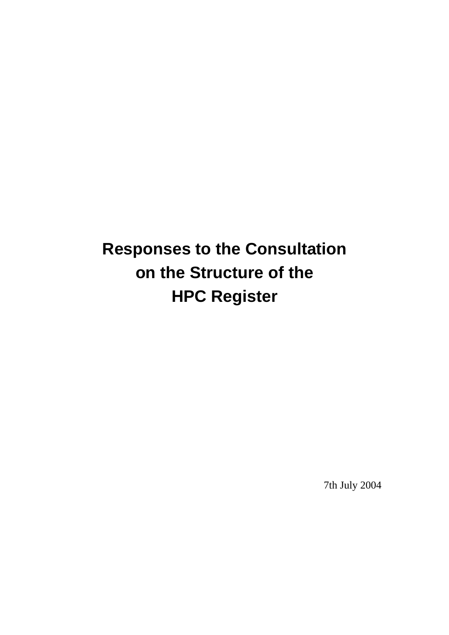# **Responses to the Consultation on the Structure of the HPC Register**

7th July 2004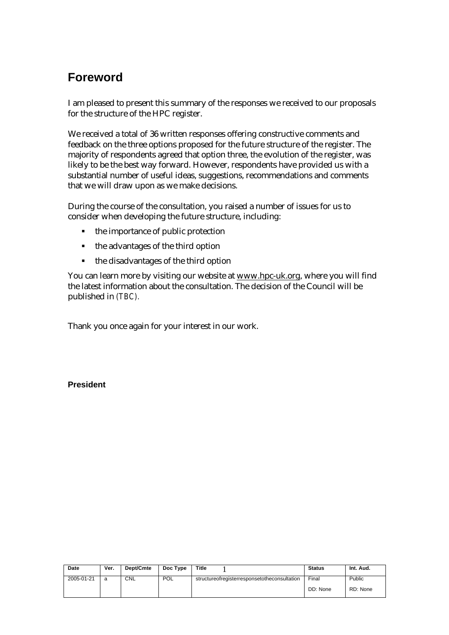## **Foreword**

I am pleased to present this summary of the responses we received to our proposals for the structure of the HPC register.

We received a total of 36 written responses offering constructive comments and feedback on the three options proposed for the future structure of the register. The majority of respondents agreed that option three, the evolution of the register, was likely to be the best way forward. However, respondents have provided us with a substantial number of useful ideas, suggestions, recommendations and comments that we will draw upon as we make decisions.

During the course of the consultation, you raised a number of issues for us to consider when developing the future structure, including:

- $\blacksquare$  the importance of public protection
- $\blacksquare$  the advantages of the third option
- the disadvantages of the third option

You can learn more by visiting our website at www.hpc-uk.org, where you will find the latest information about the consultation. The decision of the Council will be published in *(TBC).*

Thank you once again for your interest in our work.

**President**

| Date       | Ver. | Dept/Cmte  | Doc Type   | Title                                        | <b>Status</b> | Int. Aud. |
|------------|------|------------|------------|----------------------------------------------|---------------|-----------|
| 2005-01-21 | a    | <b>CNL</b> | <b>POL</b> | structureofregisterresponsetotheconsultation | Final         | Public    |
|            |      |            |            |                                              | DD: None      | RD: None  |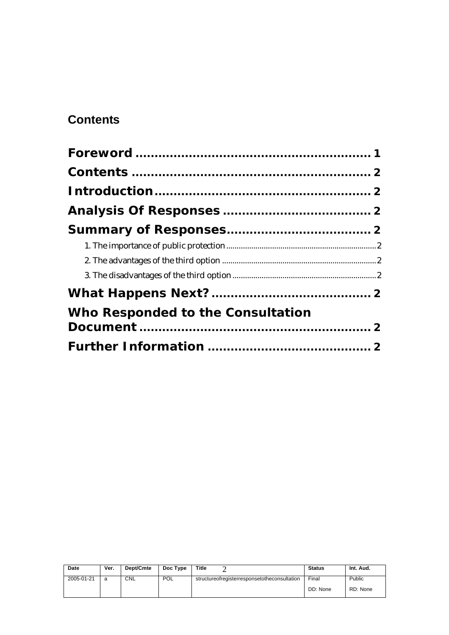# **Contents**

| Who Responded to the Consultation |  |
|-----------------------------------|--|
|                                   |  |
|                                   |  |

| Date       | Ver. | Dept/Cmte  | Doc Type   | Title                                        | <b>Status</b> | Int. Aud. |
|------------|------|------------|------------|----------------------------------------------|---------------|-----------|
| 2005-01-21 | a    | <b>CNL</b> | <b>POL</b> | structureofregisterresponsetotheconsultation | Final         | Public    |
|            |      |            |            |                                              | DD: None      | RD: None  |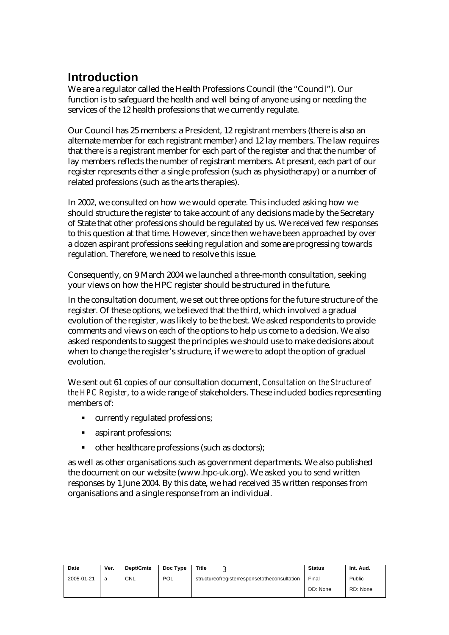# **Introduction**

We are a regulator called the Health Professions Council (the "Council"). Our function is to safeguard the health and well being of anyone using or needing the services of the 12 health professions that we currently regulate.

Our Council has 25 members: a President, 12 registrant members (there is also an alternate member for each registrant member) and 12 lay members. The law requires that there is a registrant member for each part of the register and that the number of lay members reflects the number of registrant members. At present, each part of our register represents either a single profession (such as physiotherapy) or a number of related professions (such as the arts therapies).

In 2002, we consulted on how we would operate. This included asking how we should structure the register to take account of any decisions made by the Secretary of State that other professions should be regulated by us. We received few responses to this question at that time. However, since then we have been approached by over a dozen aspirant professions seeking regulation and some are progressing towards regulation. Therefore, we need to resolve this issue.

Consequently, on 9 March 2004 we launched a three-month consultation, seeking your views on how the HPC register should be structured in the future.

In the consultation document, we set out three options for the future structure of the register. Of these options, we believed that the third, which involved a gradual evolution of the register, was likely to be the best. We asked respondents to provide comments and views on each of the options to help us come to a decision. We also asked respondents to suggest the principles we should use to make decisions about when to change the register's structure, if we were to adopt the option of gradual evolution.

We sent out 61 copies of our consultation document, *Consultation on the Structure of the HPC Register*, to a wide range of stakeholders. These included bodies representing members of:

- ß currently regulated professions;
- **s** aspirant professions;
- other healthcare professions (such as doctors);

as well as other organisations such as government departments. We also published the document on our website (www.hpc-uk.org). We asked you to send written responses by 1 June 2004. By this date, we had received 35 written responses from organisations and a single response from an individual.

| Date       | Ver. | Dept/Cmte | Doc Type   | Title                                        | <b>Status</b> | Int. Aud. |
|------------|------|-----------|------------|----------------------------------------------|---------------|-----------|
| 2005-01-21 | a    | CNL       | <b>POL</b> | structureofregisterresponsetotheconsultation | Final         | Public    |
|            |      |           |            |                                              | DD: None      | RD: None  |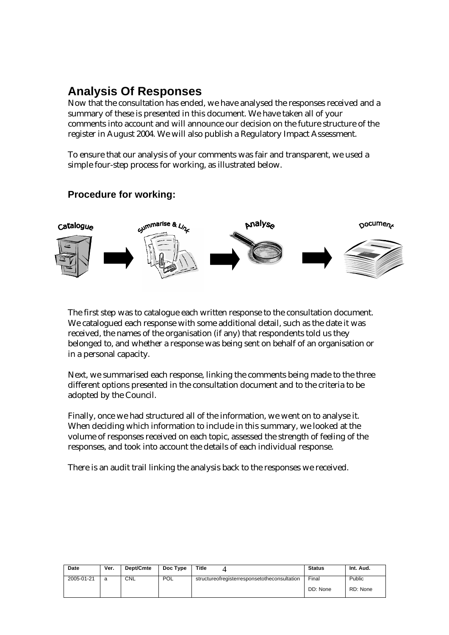## **Analysis Of Responses**

Now that the consultation has ended, we have analysed the responses received and a summary of these is presented in this document. We have taken all of your comments into account and will announce our decision on the future structure of the register in August 2004. We will also publish a Regulatory Impact Assessment.

To ensure that our analysis of your comments was fair and transparent, we used a simple four-step process for working, as illustrated below.

#### **Procedure for working:**



The first step was to catalogue each written response to the consultation document. We catalogued each response with some additional detail, such as the date it was received, the names of the organisation (if any) that respondents told us they belonged to, and whether a response was being sent on behalf of an organisation or in a personal capacity.

Next, we summarised each response, linking the comments being made to the three different options presented in the consultation document and to the criteria to be adopted by the Council.

Finally, once we had structured all of the information, we went on to analyse it. When deciding which information to include in this summary, we looked at the volume of responses received on each topic, assessed the strength of feeling of the responses, and took into account the details of each individual response.

There is an audit trail linking the analysis back to the responses we received.

| Date       | Ver. | Dept/Cmte  | Doc Type   | Title                                              | <b>Status</b> | Int. Aud. |
|------------|------|------------|------------|----------------------------------------------------|---------------|-----------|
| 2005-01-21 | a    | <b>CNL</b> | <b>POL</b> | structure of register response to the consultation | Final         | Public    |
|            |      |            |            |                                                    | DD: None      | RD: None  |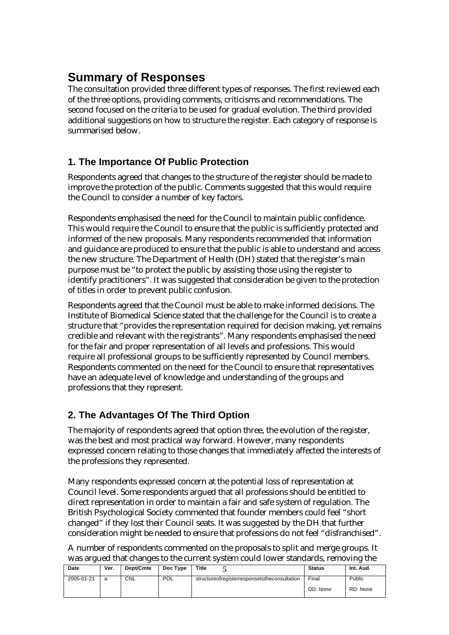# **Summary of Responses**

The consultation provided three different types of responses. The first reviewed each of the three options, providing comments, criticisms and recommendations. The second focused on the criteria to be used for gradual evolution. The third provided additional suggestions on how to structure the register. Each category of response is summarised below.

#### **1. The Importance Of Public Protection**

Respondents agreed that changes to the structure of the register should be made to improve the protection of the public. Comments suggested that this would require the Council to consider a number of key factors.

Respondents emphasised the need for the Council to maintain public confidence. This would require the Council to ensure that the public is sufficiently protected and informed of the new proposals. Many respondents recommended that information and guidance are produced to ensure that the public is able to understand and access the new structure. The Department of Health (DH) stated that the register's main purpose must be "to protect the public by assisting those using the register to identify practitioners". It was suggested that consideration be given to the protection of titles in order to prevent public confusion.

Respondents agreed that the Council must be able to make informed decisions. The Institute of Biomedical Science stated that the challenge for the Council is to create a structure that "provides the representation required for decision making, yet remains credible and relevant with the registrants". Many respondents emphasised the need for the fair and proper representation of all levels and professions. This would require all professional groups to be sufficiently represented by Council members. Respondents commented on the need for the Council to ensure that representatives have an adequate level of knowledge and understanding of the groups and professions that they represent.

#### **2. The Advantages Of The Third Option**

The majority of respondents agreed that option three, the evolution of the register, was the best and most practical way forward. However, many respondents expressed concern relating to those changes that immediately affected the interests of the professions they represented.

Many respondents expressed concern at the potential loss of representation at Council level. Some respondents argued that all professions should be entitled to direct representation in order to maintain a fair and safe system of regulation. The British Psychological Society commented that founder members could feel "short changed" if they lost their Council seats. It was suggested by the DH that further consideration might be needed to ensure that professions do not feel "disfranchised".

A number of respondents commented on the proposals to split and merge groups. It was argued that changes to the current system could lower standards, removing the

| Date       | Ver. | Dept/Cmte  | Doc Type   | Title                                              | <b>Status</b> | Int. Aud. |
|------------|------|------------|------------|----------------------------------------------------|---------------|-----------|
| 2005-01-21 | a    | <b>CNL</b> | <b>POL</b> | structure of register response to the consultation | Final         | Public    |
|            |      |            |            |                                                    | DD: None      | RD: None  |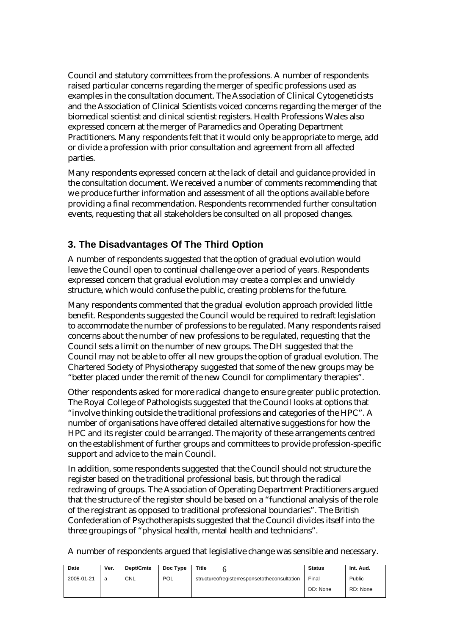Council and statutory committees from the professions. A number of respondents raised particular concerns regarding the merger of specific professions used as examples in the consultation document. The Association of Clinical Cytogeneticists and the Association of Clinical Scientists voiced concerns regarding the merger of the biomedical scientist and clinical scientist registers. Health Professions Wales also expressed concern at the merger of Paramedics and Operating Department Practitioners. Many respondents felt that it would only be appropriate to merge, add or divide a profession with prior consultation and agreement from all affected parties.

Many respondents expressed concern at the lack of detail and guidance provided in the consultation document. We received a number of comments recommending that we produce further information and assessment of all the options available before providing a final recommendation. Respondents recommended further consultation events, requesting that all stakeholders be consulted on all proposed changes.

#### **3. The Disadvantages Of The Third Option**

A number of respondents suggested that the option of gradual evolution would leave the Council open to continual challenge over a period of years. Respondents expressed concern that gradual evolution may create a complex and unwieldy structure, which would confuse the public, creating problems for the future.

Many respondents commented that the gradual evolution approach provided little benefit. Respondents suggested the Council would be required to redraft legislation to accommodate the number of professions to be regulated. Many respondents raised concerns about the number of new professions to be regulated, requesting that the Council sets a limit on the number of new groups. The DH suggested that the Council may not be able to offer all new groups the option of gradual evolution. The Chartered Society of Physiotherapy suggested that some of the new groups may be "better placed under the remit of the new Council for complimentary therapies".

Other respondents asked for more radical change to ensure greater public protection. The Royal College of Pathologists suggested that the Council looks at options that "involve thinking outside the traditional professions and categories of the HPC". A number of organisations have offered detailed alternative suggestions for how the HPC and its register could be arranged. The majority of these arrangements centred on the establishment of further groups and committees to provide profession-specific support and advice to the main Council.

In addition, some respondents suggested that the Council should not structure the register based on the traditional professional basis, but through the radical redrawing of groups. The Association of Operating Department Practitioners argued that the structure of the register should be based on a "functional analysis of the role of the registrant as opposed to traditional professional boundaries". The British Confederation of Psychotherapists suggested that the Council divides itself into the three groupings of "physical health, mental health and technicians".

A number of respondents argued that legislative change was sensible and necessary.

| Date       | Ver. | Dept/Cmte | Doc Type   | Title                                        | <b>Status</b> | Int. Aud. |
|------------|------|-----------|------------|----------------------------------------------|---------------|-----------|
| 2005-01-21 | a    | CNL       | <b>POL</b> | structureofregisterresponsetotheconsultation | Final         | Public    |
|            |      |           |            |                                              | DD: None      | RD: None  |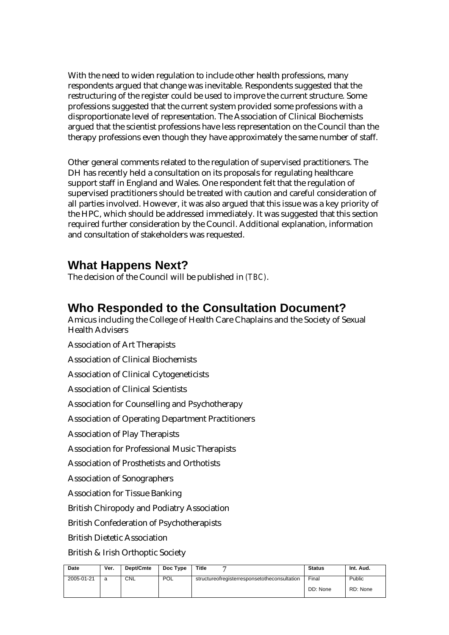With the need to widen regulation to include other health professions, many respondents argued that change was inevitable. Respondents suggested that the restructuring of the register could be used to improve the current structure. Some professions suggested that the current system provided some professions with a disproportionate level of representation. The Association of Clinical Biochemists argued that the scientist professions have less representation on the Council than the therapy professions even though they have approximately the same number of staff.

Other general comments related to the regulation of supervised practitioners. The DH has recently held a consultation on its proposals for regulating healthcare support staff in England and Wales. One respondent felt that the regulation of supervised practitioners should be treated with caution and careful consideration of all parties involved. However, it was also argued that this issue was a key priority of the HPC, which should be addressed immediately. It was suggested that this section required further consideration by the Council. Additional explanation, information and consultation of stakeholders was requested.

#### **What Happens Next?**

The decision of the Council will be published in *(TBC)*.

### **Who Responded to the Consultation Document?**

Amicus including the College of Health Care Chaplains and the Society of Sexual Health Advisers

Association of Art Therapists Association of Clinical Biochemists Association of Clinical Cytogeneticists Association of Clinical Scientists Association for Counselling and Psychotherapy Association of Operating Department Practitioners Association of Play Therapists Association for Professional Music Therapists Association of Prosthetists and Orthotists Association of Sonographers Association for Tissue Banking British Chiropody and Podiatry Association British Confederation of Psychotherapists British Dietetic Association

British & Irish Orthoptic Society

| Date       | Ver. | Dept/Cmte | Doc Type | Title                                        | <b>Status</b> | Int. Aud. |
|------------|------|-----------|----------|----------------------------------------------|---------------|-----------|
| 2005-01-21 | a    | CNL       | POL      | structureofregisterresponsetotheconsultation | Final         | Public    |
|            |      |           |          |                                              | DD: None      | RD: None  |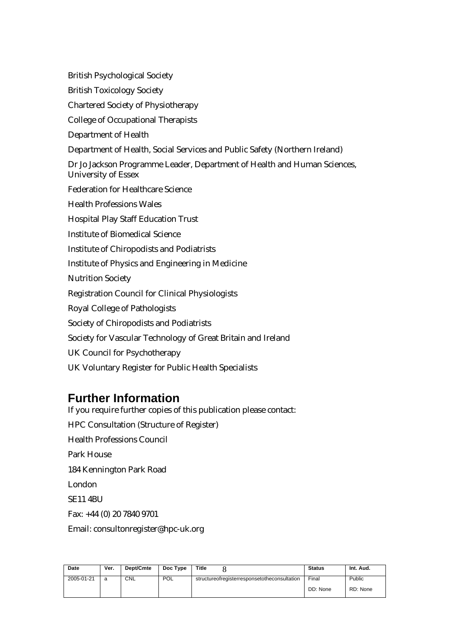British Psychological Society British Toxicology Society Chartered Society of Physiotherapy College of Occupational Therapists Department of Health Department of Health, Social Services and Public Safety (Northern Ireland) Dr Jo Jackson Programme Leader, Department of Health and Human Sciences, University of Essex Federation for Healthcare Science Health Professions Wales Hospital Play Staff Education Trust Institute of Biomedical Science Institute of Chiropodists and Podiatrists Institute of Physics and Engineering in Medicine Nutrition Society Registration Council for Clinical Physiologists Royal College of Pathologists Society of Chiropodists and Podiatrists Society for Vascular Technology of Great Britain and Ireland UK Council for Psychotherapy UK Voluntary Register for Public Health Specialists

## **Further Information**

If you require further copies of this publication please contact: HPC Consultation (Structure of Register) Health Professions Council Park House 184 Kennington Park Road London SE11 4BU Fax: +44 (0) 20 7840 9701 Email: consultonregister@hpc-uk.org

| Date       | Ver. | Dept/Cmte  | Doc Type   | Title                                        | <b>Status</b> | Int. Aud. |
|------------|------|------------|------------|----------------------------------------------|---------------|-----------|
| 2005-01-21 | a    | <b>CNL</b> | <b>POL</b> | structureofregisterresponsetotheconsultation | Final         | Public    |
|            |      |            |            |                                              | DD: None      | RD: None  |